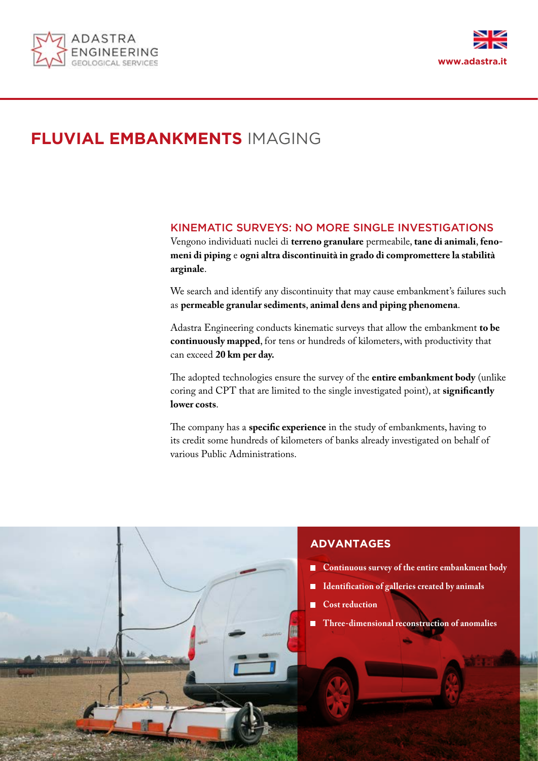



# **FLUVIAL EMBANKMENTS** IMAGING

### KINEMATIC SURVEYS: NO MORE SINGLE INVESTIGATIONS

Vengono individuati nuclei di **terreno granulare** permeabile, **tane di animali**, **fenomeni di piping** e **ogni altra discontinuità in grado di compromettere la stabilità arginale**.

We search and identify any discontinuity that may cause embankment's failures such as **permeable granular sediments**, **animal dens and piping phenomena**.

Adastra Engineering conducts kinematic surveys that allow the embankment **to be continuously mapped**, for tens or hundreds of kilometers, with productivity that can exceed **20 km per day.**

The adopted technologies ensure the survey of the **entire embankment body** (unlike coring and CPT that are limited to the single investigated point), at **significantly lower costs**.

The company has a **specific experience** in the study of embankments, having to its credit some hundreds of kilometers of banks already investigated on behalf of various Public Administrations.